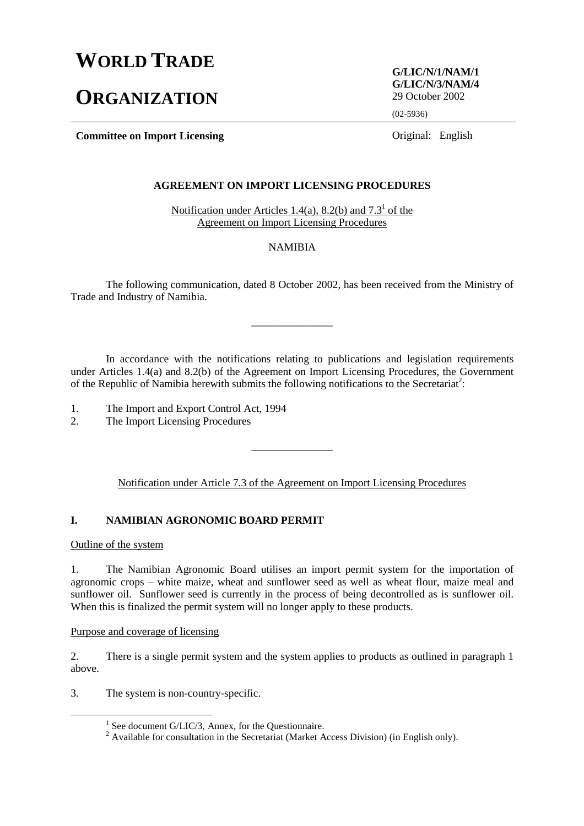# **WORLD TRADE**

# **ORGANIZATION**

**G/LIC/N/1/NAM/1 G/LIC/N/3/NAM/4** 29 October 2002

(02-5936)

**Committee on Import Licensing** Original: English

## **AGREEMENT ON IMPORT LICENSING PROCEDURES**

Notification under Articles  $1.4(a)$ ,  $8.2(b)$  and  $7.3<sup>1</sup>$  of the Agreement on Import Licensing Procedures

## NAMIBIA

The following communication, dated 8 October 2002, has been received from the Ministry of Trade and Industry of Namibia.

\_\_\_\_\_\_\_\_\_\_\_\_\_\_\_

In accordance with the notifications relating to publications and legislation requirements under Articles 1.4(a) and 8.2(b) of the Agreement on Import Licensing Procedures, the Government of the Republic of Namibia herewith submits the following notifications to the Secretariat<sup>2</sup>:

1. The Import and Export Control Act, 1994

2. The Import Licensing Procedures

Notification under Article 7.3 of the Agreement on Import Licensing Procedures

\_\_\_\_\_\_\_\_\_\_\_\_\_\_\_

## **I. NAMIBIAN AGRONOMIC BOARD PERMIT**

Outline of the system

1. The Namibian Agronomic Board utilises an import permit system for the importation of agronomic crops – white maize, wheat and sunflower seed as well as wheat flour, maize meal and sunflower oil. Sunflower seed is currently in the process of being decontrolled as is sunflower oil. When this is finalized the permit system will no longer apply to these products.

### Purpose and coverage of licensing

2. There is a single permit system and the system applies to products as outlined in paragraph 1 above.

3. The system is non-country-specific.

<sup>&</sup>lt;u>1</u> <sup>1</sup> See document G/LIC/3, Annex, for the Questionnaire.

 $2$  Available for consultation in the Secretariat (Market Access Division) (in English only).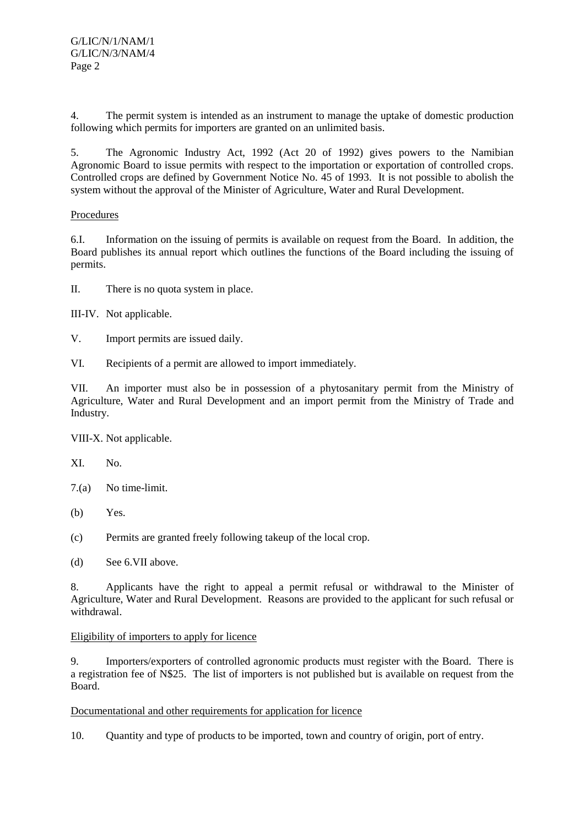4. The permit system is intended as an instrument to manage the uptake of domestic production following which permits for importers are granted on an unlimited basis.

5. The Agronomic Industry Act, 1992 (Act 20 of 1992) gives powers to the Namibian Agronomic Board to issue permits with respect to the importation or exportation of controlled crops. Controlled crops are defined by Government Notice No. 45 of 1993. It is not possible to abolish the system without the approval of the Minister of Agriculture, Water and Rural Development.

## Procedures

6.I. Information on the issuing of permits is available on request from the Board. In addition, the Board publishes its annual report which outlines the functions of the Board including the issuing of permits.

II. There is no quota system in place.

III-IV. Not applicable.

V. Import permits are issued daily.

VI. Recipients of a permit are allowed to import immediately.

VII. An importer must also be in possession of a phytosanitary permit from the Ministry of Agriculture, Water and Rural Development and an import permit from the Ministry of Trade and Industry.

VIII-X. Not applicable.

XI. No.

7.(a) No time-limit.

(b) Yes.

(c) Permits are granted freely following takeup of the local crop.

(d) See 6.VII above.

8. Applicants have the right to appeal a permit refusal or withdrawal to the Minister of Agriculture, Water and Rural Development. Reasons are provided to the applicant for such refusal or withdrawal.

## Eligibility of importers to apply for licence

9. Importers/exporters of controlled agronomic products must register with the Board. There is a registration fee of N\$25. The list of importers is not published but is available on request from the Board.

## Documentational and other requirements for application for licence

10. Quantity and type of products to be imported, town and country of origin, port of entry.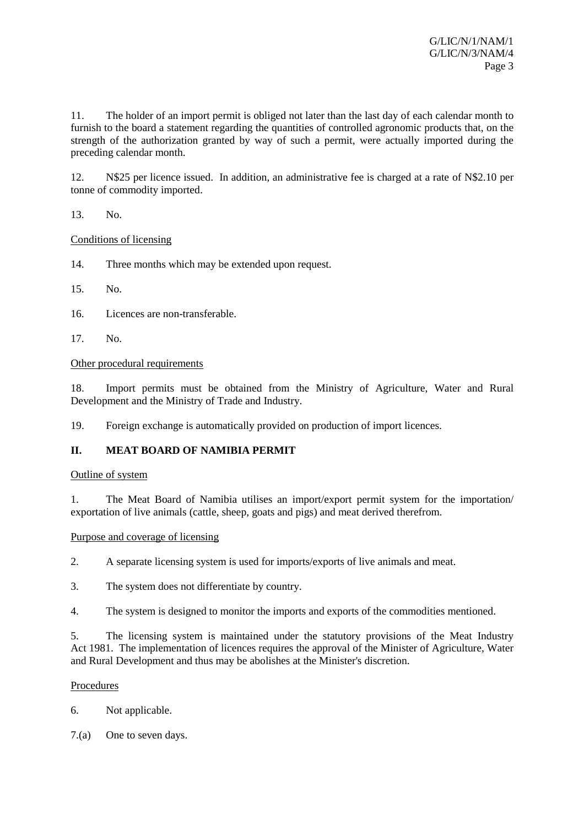11. The holder of an import permit is obliged not later than the last day of each calendar month to furnish to the board a statement regarding the quantities of controlled agronomic products that, on the strength of the authorization granted by way of such a permit, were actually imported during the preceding calendar month.

12. N\$25 per licence issued. In addition, an administrative fee is charged at a rate of N\$2.10 per tonne of commodity imported.

13. No.

## Conditions of licensing

14. Three months which may be extended upon request.

15. No.

- 16. Licences are non-transferable.
- 17. No.

### Other procedural requirements

18. Import permits must be obtained from the Ministry of Agriculture, Water and Rural Development and the Ministry of Trade and Industry.

19. Foreign exchange is automatically provided on production of import licences.

## **II. MEAT BOARD OF NAMIBIA PERMIT**

### Outline of system

1. The Meat Board of Namibia utilises an import/export permit system for the importation/ exportation of live animals (cattle, sheep, goats and pigs) and meat derived therefrom.

## Purpose and coverage of licensing

2. A separate licensing system is used for imports/exports of live animals and meat.

- 3. The system does not differentiate by country.
- 4. The system is designed to monitor the imports and exports of the commodities mentioned.

5. The licensing system is maintained under the statutory provisions of the Meat Industry Act 1981. The implementation of licences requires the approval of the Minister of Agriculture, Water and Rural Development and thus may be abolishes at the Minister's discretion.

### Procedures

- 6. Not applicable.
- 7.(a) One to seven days.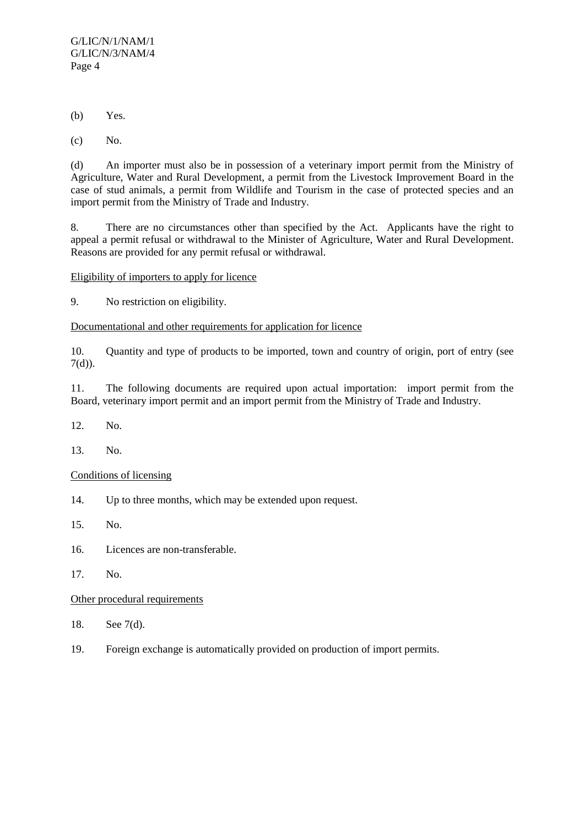(b) Yes.

(c) No.

(d) An importer must also be in possession of a veterinary import permit from the Ministry of Agriculture, Water and Rural Development, a permit from the Livestock Improvement Board in the case of stud animals, a permit from Wildlife and Tourism in the case of protected species and an import permit from the Ministry of Trade and Industry.

8. There are no circumstances other than specified by the Act. Applicants have the right to appeal a permit refusal or withdrawal to the Minister of Agriculture, Water and Rural Development. Reasons are provided for any permit refusal or withdrawal.

## Eligibility of importers to apply for licence

9. No restriction on eligibility.

Documentational and other requirements for application for licence

10. Quantity and type of products to be imported, town and country of origin, port of entry (see  $7(d)$ ).

11. The following documents are required upon actual importation: import permit from the Board, veterinary import permit and an import permit from the Ministry of Trade and Industry.

- 12. No.
- 13. No.

### Conditions of licensing

- 14. Up to three months, which may be extended upon request.
- 15. No.
- 16. Licences are non-transferable.
- 17. No.

## Other procedural requirements

- 18. See 7(d).
- 19. Foreign exchange is automatically provided on production of import permits.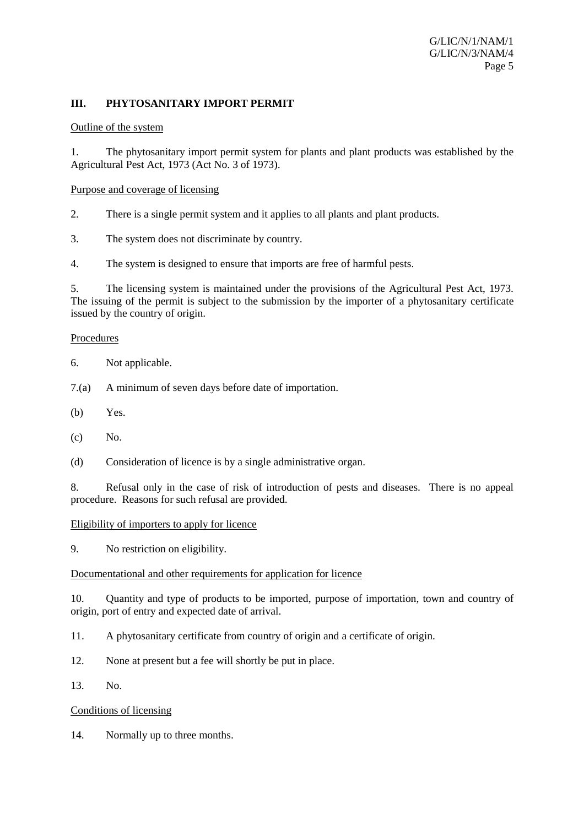## **III. PHYTOSANITARY IMPORT PERMIT**

#### Outline of the system

1. The phytosanitary import permit system for plants and plant products was established by the Agricultural Pest Act, 1973 (Act No. 3 of 1973).

#### Purpose and coverage of licensing

- 2. There is a single permit system and it applies to all plants and plant products.
- 3. The system does not discriminate by country.
- 4. The system is designed to ensure that imports are free of harmful pests.

5. The licensing system is maintained under the provisions of the Agricultural Pest Act, 1973. The issuing of the permit is subject to the submission by the importer of a phytosanitary certificate issued by the country of origin.

### Procedures

- 6. Not applicable.
- 7.(a) A minimum of seven days before date of importation.
- (b) Yes.
- $(c)$  No.
- (d) Consideration of licence is by a single administrative organ.
- 8. Refusal only in the case of risk of introduction of pests and diseases. There is no appeal procedure. Reasons for such refusal are provided.

### Eligibility of importers to apply for licence

9. No restriction on eligibility.

## Documentational and other requirements for application for licence

10. Quantity and type of products to be imported, purpose of importation, town and country of origin, port of entry and expected date of arrival.

11. A phytosanitary certificate from country of origin and a certificate of origin.

- 12. None at present but a fee will shortly be put in place.
- 13. No.

### Conditions of licensing

14. Normally up to three months.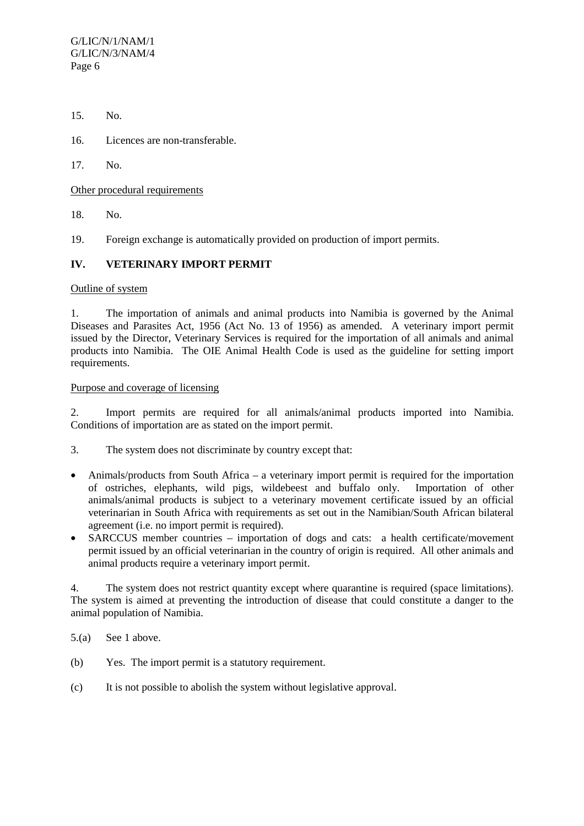- 15. No.
- 16. Licences are non-transferable.
- 17. No.

#### Other procedural requirements

- 18. No.
- 19. Foreign exchange is automatically provided on production of import permits.

## **IV. VETERINARY IMPORT PERMIT**

#### Outline of system

1. The importation of animals and animal products into Namibia is governed by the Animal Diseases and Parasites Act, 1956 (Act No. 13 of 1956) as amended. A veterinary import permit issued by the Director, Veterinary Services is required for the importation of all animals and animal products into Namibia. The OIE Animal Health Code is used as the guideline for setting import requirements.

#### Purpose and coverage of licensing

2. Import permits are required for all animals/animal products imported into Namibia. Conditions of importation are as stated on the import permit.

- 3. The system does not discriminate by country except that:
- Animals/products from South Africa a veterinary import permit is required for the importation of ostriches, elephants, wild pigs, wildebeest and buffalo only. Importation of other animals/animal products is subject to a veterinary movement certificate issued by an official veterinarian in South Africa with requirements as set out in the Namibian/South African bilateral agreement (i.e. no import permit is required).
- SARCCUS member countries importation of dogs and cats: a health certificate/movement permit issued by an official veterinarian in the country of origin is required. All other animals and animal products require a veterinary import permit.

4. The system does not restrict quantity except where quarantine is required (space limitations). The system is aimed at preventing the introduction of disease that could constitute a danger to the animal population of Namibia.

5.(a) See 1 above.

- (b) Yes. The import permit is a statutory requirement.
- (c) It is not possible to abolish the system without legislative approval.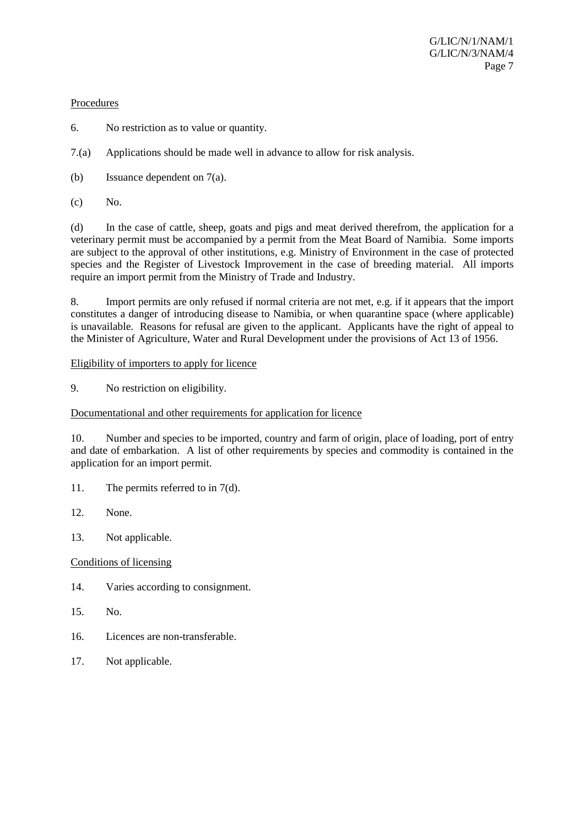## Procedures

6. No restriction as to value or quantity.

7.(a) Applications should be made well in advance to allow for risk analysis.

- (b) Issuance dependent on 7(a).
- (c) No.

(d) In the case of cattle, sheep, goats and pigs and meat derived therefrom, the application for a veterinary permit must be accompanied by a permit from the Meat Board of Namibia. Some imports are subject to the approval of other institutions, e.g. Ministry of Environment in the case of protected species and the Register of Livestock Improvement in the case of breeding material. All imports require an import permit from the Ministry of Trade and Industry.

8. Import permits are only refused if normal criteria are not met, e.g. if it appears that the import constitutes a danger of introducing disease to Namibia, or when quarantine space (where applicable) is unavailable. Reasons for refusal are given to the applicant. Applicants have the right of appeal to the Minister of Agriculture, Water and Rural Development under the provisions of Act 13 of 1956.

## Eligibility of importers to apply for licence

9. No restriction on eligibility.

## Documentational and other requirements for application for licence

10. Number and species to be imported, country and farm of origin, place of loading, port of entry and date of embarkation. A list of other requirements by species and commodity is contained in the application for an import permit.

- 11. The permits referred to in 7(d).
- 12. None.
- 13. Not applicable.

### Conditions of licensing

- 14. Varies according to consignment.
- 15. No.
- 16. Licences are non-transferable.
- 17. Not applicable.